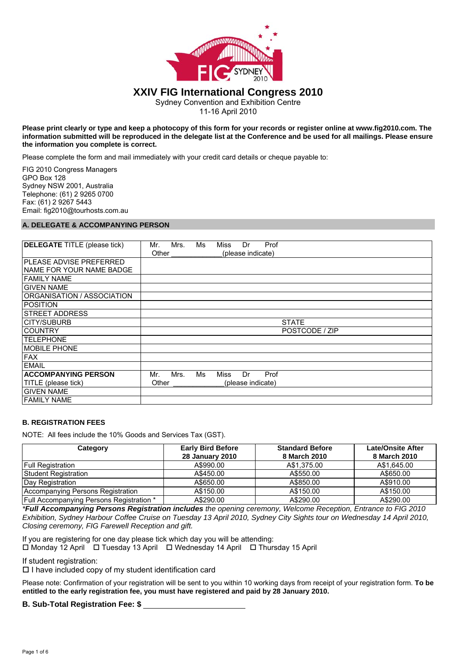

# **XXIV FIG International Congress 2010**

Sydney Convention and Exhibition Centre

11-16 April 2010

#### **Please print clearly or type and keep a photocopy of this form for your records or register online at www.fig2010.com. The information submitted will be reproduced in the delegate list at the Conference and be used for all mailings. Please ensure the information you complete is correct.**

Please complete the form and mail immediately with your credit card details or cheque payable to:

FIG 2010 Congress Managers GPO Box 128 Sydney NSW 2001, Australia Telephone: (61) 2 9265 0700 Fax: (61) 2 9267 5443 Email: fig2010@tourhosts.com.au

# **A. DELEGATE & ACCOMPANYING PERSON**

| <b>DELEGATE</b> TITLE (please tick) | Mrs.<br>Ms<br>Prof<br>Miss<br>Dr<br>Mr. |
|-------------------------------------|-----------------------------------------|
|                                     | Other<br>(please indicate)              |
| IPLEASE ADVISE PREFERRED            |                                         |
| NAME FOR YOUR NAME BADGE            |                                         |
| FAMILY NAME                         |                                         |
| <b>GIVEN NAME</b>                   |                                         |
| ORGANISATION / ASSOCIATION          |                                         |
| <b>POSITION</b>                     |                                         |
| <b>ISTREET ADDRESS</b>              |                                         |
| CITY/SUBURB                         | <b>STATE</b>                            |
| <b>COUNTRY</b>                      | POSTCODE / ZIP                          |
| <b>TELEPHONE</b>                    |                                         |
| <b>MOBILE PHONE</b>                 |                                         |
| <b>FAX</b>                          |                                         |
| <b>EMAIL</b>                        |                                         |
| <b>ACCOMPANYING PERSON</b>          | Mrs.<br>Ms<br>Miss<br>Dr<br>Prof<br>Mr. |
| TITLE (please tick)                 | Other<br>(please indicate)              |
| <b>GIVEN NAME</b>                   |                                         |
| FAMILY NAME                         |                                         |

## **B. REGISTRATION FEES**

NOTE: All fees include the 10% Goods and Services Tax (GST).

| Category                                        | <b>Early Bird Before</b><br><b>28 January 2010</b> | <b>Standard Before</b><br>8 March 2010 | <b>Late/Onsite After</b><br>8 March 2010 |
|-------------------------------------------------|----------------------------------------------------|----------------------------------------|------------------------------------------|
| <b>Full Registration</b>                        | A\$990.00                                          | A\$1.375.00                            | A\$1.645.00                              |
| Student Registration                            | A\$450.00                                          | A\$550.00                              | A\$650.00                                |
| Day Registration                                | A\$650.00                                          | A\$850.00                              | A\$910.00                                |
| Accompanying Persons Registration               | A\$150.00                                          | A\$150.00                              | A\$150.00                                |
| <b>Full Accompanying Persons Registration</b> * | A\$290.00                                          | A\$290.00                              | A\$290.00                                |

*\*Full Accompanying Persons Registration includes the opening ceremony, Welcome Reception, Entrance to FIG 2010 Exhibition, Sydney Harbour Coffee Cruise on Tuesday 13 April 2010, Sydney City Sights tour on Wednesday 14 April 2010, Closing ceremony, FIG Farewell Reception and gift.* 

If you are registering for one day please tick which day you will be attending: Monday 12 April Tuesday 13 April Wednesday 14 April Thursday 15 April

If student registration:

 $\Box$  I have included copy of my student identification card

Please note: Confirmation of your registration will be sent to you within 10 working days from receipt of your registration form. **To be entitled to the early registration fee, you must have registered and paid by 28 January 2010.**

# **B. Sub-Total Registration Fee: \$ .**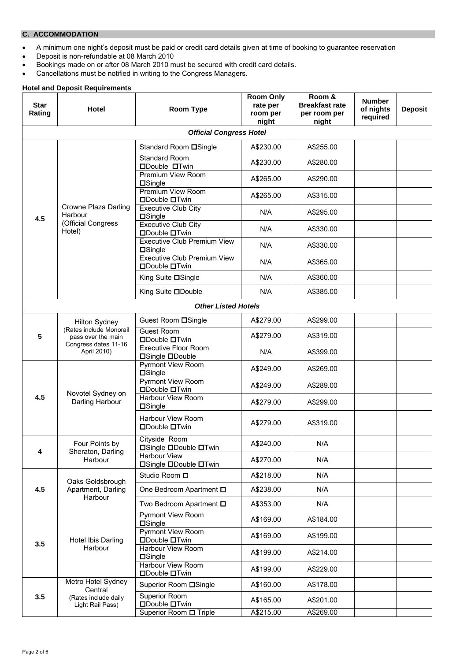# **C. ACCOMMODATION**

- A minimum one night's deposit must be paid or credit card details given at time of booking to guarantee reservation
- Deposit is non-refundable at 08 March 2010
- Bookings made on or after 08 March 2010 must be secured with credit card details.
- Cancellations must be notified in writing to the Congress Managers.

### **Hotel and Deposit Requirements**

| <b>Star</b><br>Rating                                                                                             | <b>Hotel</b>                                          | <b>Room Type</b>                                           | <b>Room Only</b><br>rate per<br>room per<br>night | Room &<br><b>Breakfast rate</b><br>per room per<br>night | <b>Number</b><br>of nights<br>required | <b>Deposit</b> |
|-------------------------------------------------------------------------------------------------------------------|-------------------------------------------------------|------------------------------------------------------------|---------------------------------------------------|----------------------------------------------------------|----------------------------------------|----------------|
|                                                                                                                   |                                                       | <b>Official Congress Hotel</b>                             |                                                   |                                                          |                                        |                |
|                                                                                                                   |                                                       | Standard Room <b>OSingle</b>                               | A\$230.00                                         | A\$255.00                                                |                                        |                |
|                                                                                                                   |                                                       | Standard Room<br><b>ODouble OTwin</b>                      | A\$230.00                                         | A\$280.00                                                |                                        |                |
|                                                                                                                   |                                                       | <b>Premium View Room</b><br>$\square$ Single               | A\$265.00                                         | A\$290.00                                                |                                        |                |
|                                                                                                                   |                                                       | <b>Premium View Room</b><br><b>ODouble OTwin</b>           | A\$265.00                                         | A\$315.00                                                |                                        |                |
| 4.5                                                                                                               | <b>Crowne Plaza Darling</b><br>Harbour                | <b>Executive Club City</b><br>$\square$ Single             | N/A                                               | A\$295.00                                                |                                        |                |
|                                                                                                                   | (Official Congress<br>Hotel)                          | <b>Executive Club City</b><br><b>ODouble OTwin</b>         | N/A                                               | A\$330.00                                                |                                        |                |
|                                                                                                                   |                                                       | <b>Executive Club Premium View</b><br>$\square$ Single     | N/A                                               | A\$330.00                                                |                                        |                |
|                                                                                                                   |                                                       | <b>Executive Club Premium View</b><br><b>ODouble OTwin</b> | N/A                                               | A\$365.00                                                |                                        |                |
|                                                                                                                   |                                                       | King Suite □Single                                         | N/A                                               | A\$360.00                                                |                                        |                |
|                                                                                                                   |                                                       | King Suite <b>ODouble</b>                                  | N/A                                               | A\$385.00                                                |                                        |                |
|                                                                                                                   |                                                       | <b>Other Listed Hotels</b>                                 |                                                   |                                                          |                                        |                |
| <b>Hilton Sydney</b><br>(Rates include Monorail<br>5<br>pass over the main<br>Congress dates 11-16<br>April 2010) | Guest Room <b>OSingle</b>                             | A\$279.00                                                  | A\$299.00                                         |                                                          |                                        |                |
|                                                                                                                   | <b>Guest Room</b><br><b>ODouble OTwin</b>             | A\$279.00                                                  | A\$319.00                                         |                                                          |                                        |                |
|                                                                                                                   | <b>Executive Floor Room</b><br><b>□Single □Double</b> | N/A                                                        | A\$399.00                                         |                                                          |                                        |                |
|                                                                                                                   |                                                       | <b>Pyrmont View Room</b><br>$\square$ Single               | A\$249.00                                         | A\$269.00                                                |                                        |                |
|                                                                                                                   | Novotel Sydney on                                     | <b>Pyrmont View Room</b><br><b>ODouble OTwin</b>           | A\$249.00                                         | A\$289.00                                                |                                        |                |
| 4.5                                                                                                               | Darling Harbour                                       | Harbour View Room<br><b>OSingle</b>                        | A\$279.00                                         | A\$299.00                                                |                                        |                |
|                                                                                                                   |                                                       | Harbour View Room<br><b>ODouble OTwin</b>                  | A\$279.00                                         | A\$319.00                                                |                                        |                |
| 4                                                                                                                 | Four Points by<br>Sheraton, Darling                   | Cityside Room<br><b>□Single □Double □Twin</b>              | A\$240.00                                         | N/A                                                      |                                        |                |
|                                                                                                                   | Harbour                                               | Harbour View<br><b>□Single □Double □Twin</b>               | A\$270.00                                         | N/A                                                      |                                        |                |
|                                                                                                                   | Oaks Goldsbrough                                      | Studio Room □                                              | A\$218.00                                         | N/A                                                      |                                        |                |
| 4.5                                                                                                               | Apartment, Darling<br>Harbour                         | One Bedroom Apartment $\square$                            | A\$238.00                                         | N/A                                                      |                                        |                |
|                                                                                                                   |                                                       | Two Bedroom Apartment <b>D</b>                             | A\$353.00                                         | N/A                                                      |                                        |                |
|                                                                                                                   |                                                       | <b>Pyrmont View Room</b><br>$\square$ Single               | A\$169.00                                         | A\$184.00                                                |                                        |                |
| 3.5                                                                                                               | Hotel Ibis Darling                                    | <b>Pyrmont View Room</b><br><b>ODouble OTwin</b>           | A\$169.00                                         | A\$199.00                                                |                                        |                |
|                                                                                                                   | Harbour                                               | Harbour View Room<br><b>□Single</b>                        | A\$199.00                                         | A\$214.00                                                |                                        |                |
|                                                                                                                   |                                                       | <b>Harbour View Room</b><br><b>□Double □Twin</b>           | A\$199.00                                         | A\$229.00                                                |                                        |                |
|                                                                                                                   | Metro Hotel Sydney<br>Central                         | Superior Room <b>□</b> Single                              | A\$160.00                                         | A\$178.00                                                |                                        |                |
| 3.5                                                                                                               | (Rates include daily<br>Light Rail Pass)              | Superior Room<br><b>□Double □Twin</b>                      | A\$165.00                                         | A\$201.00                                                |                                        |                |
|                                                                                                                   |                                                       | Superior Room <b>O</b> Triple                              | A\$215.00                                         | A\$269.00                                                |                                        |                |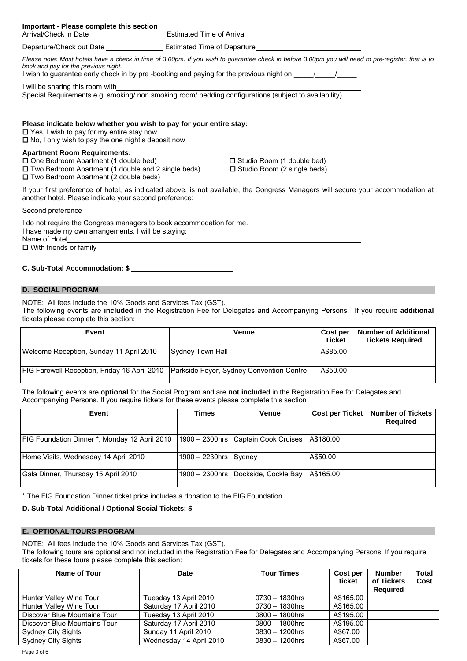|                                                                                                                                                                                                                                                                                                     | Departure/Check out Date _______________________Estimated Time of Departure________________________   |  |  |  |  |  |
|-----------------------------------------------------------------------------------------------------------------------------------------------------------------------------------------------------------------------------------------------------------------------------------------------------|-------------------------------------------------------------------------------------------------------|--|--|--|--|--|
| Please note: Most hotels have a check in time of 3.00pm. If you wish to guarantee check in before 3.00pm you will need to pre-register, that is to<br>book and pay for the previous night.<br>I wish to guarantee early check in by pre-booking and paying for the previous night on Table 10 Table |                                                                                                       |  |  |  |  |  |
| I will be sharing this room with                                                                                                                                                                                                                                                                    | Special Requirements e.g. smoking/ non smoking room/ bedding configurations (subject to availability) |  |  |  |  |  |
| Please indicate below whether you wish to pay for your entire stay:<br>$\Box$ Yes, I wish to pay for my entire stay now<br>$\Box$ No, I only wish to pay the one night's deposit now                                                                                                                |                                                                                                       |  |  |  |  |  |
| <b>Apartment Room Requirements:</b><br>□ One Bedroom Apartment (1 double bed)<br>$\Box$ Two Bedroom Apartment (1 double and 2 single beds)<br>□ Two Bedroom Apartment (2 double beds)                                                                                                               | $\Box$ Studio Room (1 double bed)<br>$\Box$ Studio Room (2 single beds)                               |  |  |  |  |  |
| If your first preference of hotel, as indicated above, is not available, the Congress Managers will secure your accommodation at<br>another hotel. Please indicate your second preference:                                                                                                          |                                                                                                       |  |  |  |  |  |

Second preference

I do not require the Congress managers to book accommodation for me. I have made my own arrangements. I will be staying: Name of Hotel  $\Box$  With friends or family

#### **C. Sub-Total Accommodation: \$ .**

**Important - Please complete this section**

# **D. SOCIAL PROGRAM**

NOTE: All fees include the 10% Goods and Services Tax (GST). The following events are **included** in the Registration Fee for Delegates and Accompanying Persons. If you require **additional** tickets please complete this section:

| Event                                                                                   | Venue            | <b>Cost per</b><br><b>Ticket</b> | <b>Number of Additional</b><br><b>Tickets Required</b> |
|-----------------------------------------------------------------------------------------|------------------|----------------------------------|--------------------------------------------------------|
| Welcome Reception, Sunday 11 April 2010                                                 | Sydney Town Hall | A\$85.00                         |                                                        |
| FIG Farewell Reception, Friday 16 April 2010   Parkside Foyer, Sydney Convention Centre |                  | A\$50.00                         |                                                        |

The following events are **optional** for the Social Program and are **not included** in the Registration Fee for Delegates and Accompanying Persons. If you require tickets for these events please complete this section

| Event                                         | Times                    | <b>Venue</b>                        |           | Cost per Ticket   Number of Tickets<br><b>Required</b> |
|-----------------------------------------------|--------------------------|-------------------------------------|-----------|--------------------------------------------------------|
| FIG Foundation Dinner *, Monday 12 April 2010 |                          | 1900 - 2300hrs Captain Cook Cruises | A\$180.00 |                                                        |
| Home Visits, Wednesday 14 April 2010          | $1900 - 2230$ hrs Sydney |                                     | A\$50.00  |                                                        |
| Gala Dinner, Thursday 15 April 2010           |                          | 1900 - 2300hrs Dockside, Cockle Bay | A\$165.00 |                                                        |

\* The FIG Foundation Dinner ticket price includes a donation to the FIG Foundation.

## **D. Sub-Total Additional / Optional Social Tickets: \$ .**

#### **E. OPTIONAL TOURS PROGRAM**

NOTE: All fees include the 10% Goods and Services Tax (GST).

The following tours are optional and not included in the Registration Fee for Delegates and Accompanying Persons. If you require tickets for these tours please complete this section:

| Name of Tour                 | <b>Date</b>             | <b>Tour Times</b> | Cost per<br>ticket | Number<br>of Tickets<br><b>Required</b> | <b>Total</b><br>Cost |
|------------------------------|-------------------------|-------------------|--------------------|-----------------------------------------|----------------------|
| Hunter Valley Wine Tour      | Tuesday 13 April 2010   | $0730 - 1830$ hrs | A\$165.00          |                                         |                      |
| Hunter Valley Wine Tour      | Saturday 17 April 2010  | $0730 - 1830$ hrs | A\$165.00          |                                         |                      |
| Discover Blue Mountains Tour | Tuesday 13 April 2010   | $0800 - 1800$ hrs | A\$195.00          |                                         |                      |
| Discover Blue Mountains Tour | Saturday 17 April 2010  | $0800 - 1800$ hrs | A\$195.00          |                                         |                      |
| <b>Sydney City Sights</b>    | Sunday 11 April 2010    | $0830 - 1200$ hrs | A\$67.00           |                                         |                      |
| Sydney City Sights           | Wednesday 14 April 2010 | $0830 - 1200$ hrs | A\$67.00           |                                         |                      |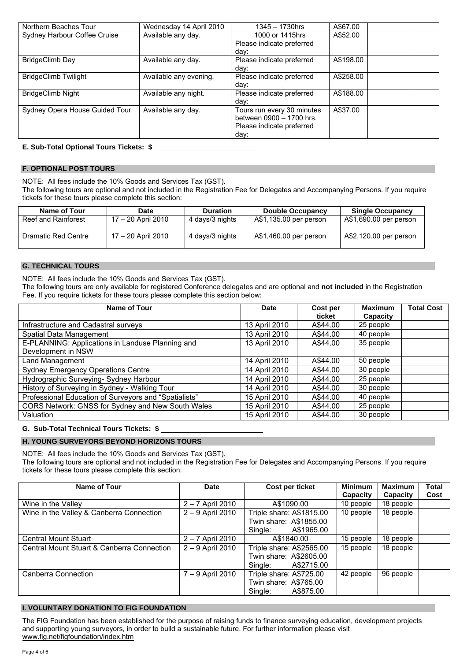| Northern Beaches Tour          | Wednesday 14 April 2010 | 1345 - 1730hrs             | A\$67.00  |  |
|--------------------------------|-------------------------|----------------------------|-----------|--|
| Sydney Harbour Coffee Cruise   | Available any day.      | 1000 or 1415hrs            | A\$52.00  |  |
|                                |                         | Please indicate preferred  |           |  |
|                                |                         | dav:                       |           |  |
| BridgeClimb Day                | Available any day.      | Please indicate preferred  | A\$198.00 |  |
|                                |                         | day:                       |           |  |
| <b>BridgeClimb Twilight</b>    | Available any evening.  | Please indicate preferred  | A\$258.00 |  |
|                                |                         | day:                       |           |  |
| <b>BridgeClimb Night</b>       | Available any night.    | Please indicate preferred  | A\$188.00 |  |
|                                |                         | day:                       |           |  |
| Sydney Opera House Guided Tour | Available any day.      | Tours run every 30 minutes | A\$37.00  |  |
|                                |                         | between 0900 - 1700 hrs.   |           |  |
|                                |                         | Please indicate preferred  |           |  |
|                                |                         | day:                       |           |  |

### **E. Sub-Total Optional Tours Tickets: \$ .**

## **F. OPTIONAL POST TOURS**

NOTE: All fees include the 10% Goods and Services Tax (GST).

The following tours are optional and not included in the Registration Fee for Delegates and Accompanying Persons. If you require tickets for these tours please complete this section:

| Name of Tour        | <b>Date</b>        | <b>Duration</b> | <b>Double Occupancy</b> | <b>Single Occupancy</b> |
|---------------------|--------------------|-----------------|-------------------------|-------------------------|
| Reef and Rainforest | 17 - 20 April 2010 | 4 days/3 nights | A\$1,135.00 per person  | A\$1,690.00 per person  |
| Dramatic Red Centre | 17 – 20 April 2010 | 4 days/3 nights | A\$1,460.00 per person  | A\$2,120.00 per person  |

#### **G. TECHNICAL TOURS**

NOTE: All fees include the 10% Goods and Services Tax (GST).

The following tours are only available for registered Conference delegates and are optional and **not included** in the Registration Fee. If you require tickets for these tours please complete this section below:

| Name of Tour                                          | Date          | Cost per<br>ticket | <b>Maximum</b><br>Capacity | <b>Total Cost</b> |
|-------------------------------------------------------|---------------|--------------------|----------------------------|-------------------|
| Infrastructure and Cadastral surveys                  | 13 April 2010 | A\$44.00           | 25 people                  |                   |
| Spatial Data Management                               | 13 April 2010 | A\$44.00           | 40 people                  |                   |
| E-PLANNING: Applications in Landuse Planning and      | 13 April 2010 | A\$44.00           | 35 people                  |                   |
| Development in NSW                                    |               |                    |                            |                   |
| Land Management                                       | 14 April 2010 | A\$44.00           | 50 people                  |                   |
| <b>Sydney Emergency Operations Centre</b>             | 14 April 2010 | A\$44.00           | 30 people                  |                   |
| Hydrographic Surveying- Sydney Harbour                | 14 April 2010 | A\$44.00           | 25 people                  |                   |
| History of Surveying in Sydney - Walking Tour         | 14 April 2010 | A\$44.00           | 30 people                  |                   |
| Professional Education of Surveyors and "Spatialists" | 15 April 2010 | A\$44.00           | 40 people                  |                   |
| CORS Network: GNSS for Sydney and New South Wales     | 15 April 2010 | A\$44.00           | 25 people                  |                   |
| Valuation                                             | 15 April 2010 | A\$44.00           | 30 people                  |                   |

## **G. Sub-Total Technical Tours Tickets: \$ .**

# **H. YOUNG SURVEYORS BEYOND HORIZONS TOURS**

NOTE: All fees include the 10% Goods and Services Tax (GST). The following tours are optional and not included in the Registration Fee for Delegates and Accompanying Persons. If you require tickets for these tours please complete this section:

| Name of Tour                               | Date               | Cost per ticket                                                             | <b>Minimum</b><br>Capacity | <b>Maximum</b><br>Capacity | Total<br>Cost |
|--------------------------------------------|--------------------|-----------------------------------------------------------------------------|----------------------------|----------------------------|---------------|
| Wine in the Valley                         | $2 - 7$ April 2010 | A\$1090.00                                                                  | 10 people                  | 18 people                  |               |
| Wine in the Valley & Canberra Connection   | 2 - 9 April 2010   | Triple share: A\$1815.00<br>Twin share: A\$1855.00<br>Single:<br>A\$1965.00 | 10 people                  | 18 people                  |               |
| <b>Central Mount Stuart</b>                | $2 - 7$ April 2010 | A\$1840.00                                                                  | 15 people                  | 18 people                  |               |
| Central Mount Stuart & Canberra Connection | 2 - 9 April 2010   | Triple share: A\$2565.00<br>Twin share: A\$2605.00<br>A\$2715.00<br>Single: | 15 people                  | 18 people                  |               |
| Canberra Connection                        | 7 - 9 April 2010   | Triple share: A\$725.00<br>Twin share: A\$765.00<br>A\$875.00<br>Single:    | 42 people                  | 96 people                  |               |

## **I. VOLUNTARY DONATION TO FIG FOUNDATION**

The FIG Foundation has been established for the purpose of raising funds to finance surveying education, development projects and supporting young surveyors, in order to build a sustainable future. For further information please visit www.fig.net/figfoundation/index.htm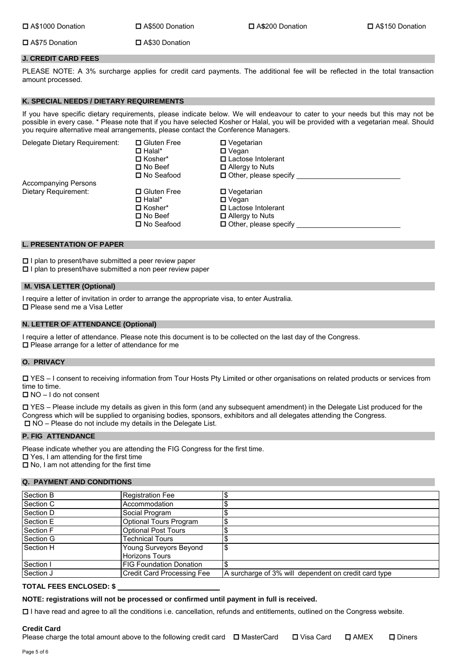A\$75 Donation A\$30 Donation

### **J. CREDIT CARD FEES**

PLEASE NOTE: A 3% surcharge applies for credit card payments. The additional fee will be reflected in the total transaction amount processed.

## **K. SPECIAL NEEDS / DIETARY REQUIREMENTS**

If you have specific dietary requirements, please indicate below. We will endeavour to cater to your needs but this may not be possible in every case. \* Please note that if you have selected Kosher or Halal, you will be provided with a vegetarian meal. Should you require alternative meal arrangements, please contact the Conference Managers.

| Delegate Dietary Requirement: | □ Gluten Free<br>$\Box$ Halal*<br>$\Box$ Kosher*<br>$\square$ No Beef<br>□ No Seafood | $\Box$ Vegetarian<br>$\Box$ Vegan<br>□ Lactose Intolerant<br>$\Box$ Allergy to Nuts<br>$\Box$ Other, please specify |
|-------------------------------|---------------------------------------------------------------------------------------|---------------------------------------------------------------------------------------------------------------------|
| Accompanying Persons          |                                                                                       |                                                                                                                     |
| Dietary Requirement:          | □ Gluten Free<br>$\Box$ Halal*<br>$\Box$ Kosher*<br>$\square$ No Beef<br>□ No Seafood | $\Box$ Vegetarian<br>$\Box$ Vegan<br>□ Lactose Intolerant<br>$\Box$ Allergy to Nuts<br>$\Box$ Other, please specify |

#### **L. PRESENTATION OF PAPER**

 $\square$  I plan to present/have submitted a peer review paper

 $\Box$  I plan to present/have submitted a non peer review paper

#### **M. VISA LETTER (Optional)**

I require a letter of invitation in order to arrange the appropriate visa, to enter Australia. □ Please send me a Visa Letter

#### **N. LETTER OF ATTENDANCE (Optional)**

I require a letter of attendance. Please note this document is to be collected on the last day of the Congress.  $\square$  Please arrange for a letter of attendance for me

#### **O. PRIVACY**

 YES – I consent to receiving information from Tour Hosts Pty Limited or other organisations on related products or services from time to time.

 $\Box$  NO – I do not consent

 YES – Please include my details as given in this form (and any subsequent amendment) in the Delegate List produced for the Congress which will be supplied to organising bodies, sponsors, exhibitors and all delegates attending the Congress. □ NO – Please do not include my details in the Delegate List.

#### **P. FIG ATTENDANCE**

Please indicate whether you are attending the FIG Congress for the first time.

■ Yes, I am attending for the first time

 $\Box$  No, I am not attending for the first time

#### **Q. PAYMENT AND CONDITIONS**

| Section B | <b>Registration Fee</b>                         |                                                      |
|-----------|-------------------------------------------------|------------------------------------------------------|
| Section C | Accommodation                                   |                                                      |
| Section D | Social Program                                  |                                                      |
| Section E | <b>Optional Tours Program</b>                   |                                                      |
| Section F | <b>Optional Post Tours</b>                      |                                                      |
| Section G | <b>Technical Tours</b>                          |                                                      |
| Section H | Young Surveyors Beyond<br><b>Horizons Tours</b> | ــ<br>Φ                                              |
| Section I | <b>FIG Foundation Donation</b>                  |                                                      |
| Section J | <b>Credit Card Processing Fee</b>               | A surcharge of 3% will dependent on credit card type |

#### **TOTAL FEES ENCLOSED: \$ .**

**NOTE: registrations will not be processed or confirmed until payment in full is received.**

I have read and agree to all the conditions i.e. cancellation, refunds and entitlements, outlined on the Congress website.

## **Credit Card**

Please charge the total amount above to the following credit card  $\Box$  MasterCard  $\Box$  Visa Card  $\Box$  AMEX  $\Box$  Diners